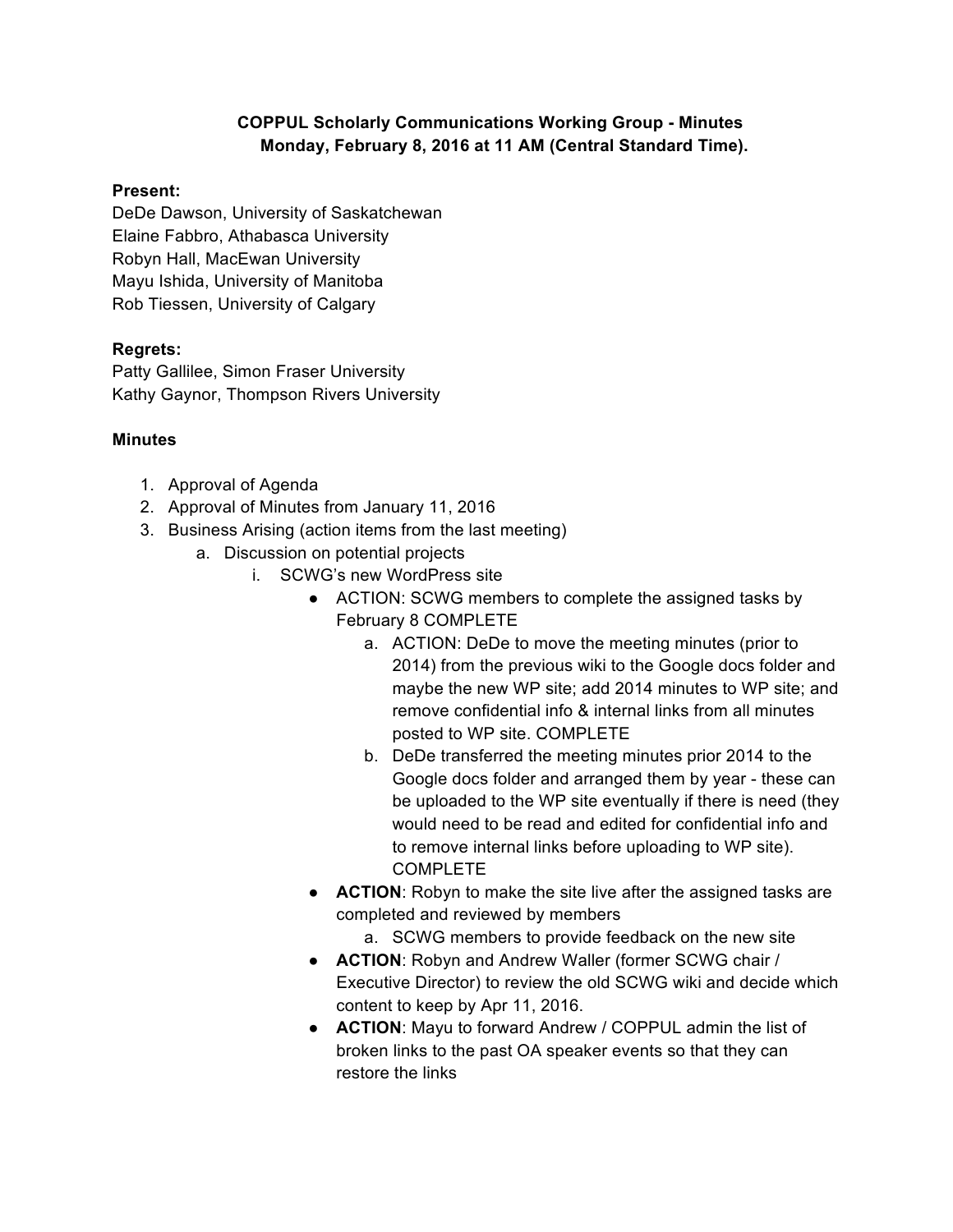## **COPPUL Scholarly Communications Working Group - Minutes Monday, February 8, 2016 at 11 AM (Central Standard Time).**

## **Present:**

DeDe Dawson, University of Saskatchewan Elaine Fabbro, Athabasca University Robyn Hall, MacEwan University Mayu Ishida, University of Manitoba Rob Tiessen, University of Calgary

## **Regrets:**

Patty Gallilee, Simon Fraser University Kathy Gaynor, Thompson Rivers University

## **Minutes**

- 1. Approval of Agenda
- 2. Approval of Minutes from January 11, 2016
- 3. Business Arising (action items from the last meeting)
	- a. Discussion on potential projects
		- i. SCWG's new WordPress site
			- ACTION: SCWG members to complete the assigned tasks by February 8 COMPLETE
				- a. ACTION: DeDe to move the meeting minutes (prior to 2014) from the previous wiki to the Google docs folder and maybe the new WP site; add 2014 minutes to WP site; and remove confidential info & internal links from all minutes posted to WP site. COMPLETE
				- b. DeDe transferred the meeting minutes prior 2014 to the Google docs folder and arranged them by year - these can be uploaded to the WP site eventually if there is need (they would need to be read and edited for confidential info and to remove internal links before uploading to WP site). COMPLETE
			- **ACTION:** Robyn to make the site live after the assigned tasks are completed and reviewed by members
				- a. SCWG members to provide feedback on the new site
			- **ACTION**: Robyn and Andrew Waller (former SCWG chair / Executive Director) to review the old SCWG wiki and decide which content to keep by Apr 11, 2016.
			- **ACTION**: Mayu to forward Andrew / COPPUL admin the list of broken links to the past OA speaker events so that they can restore the links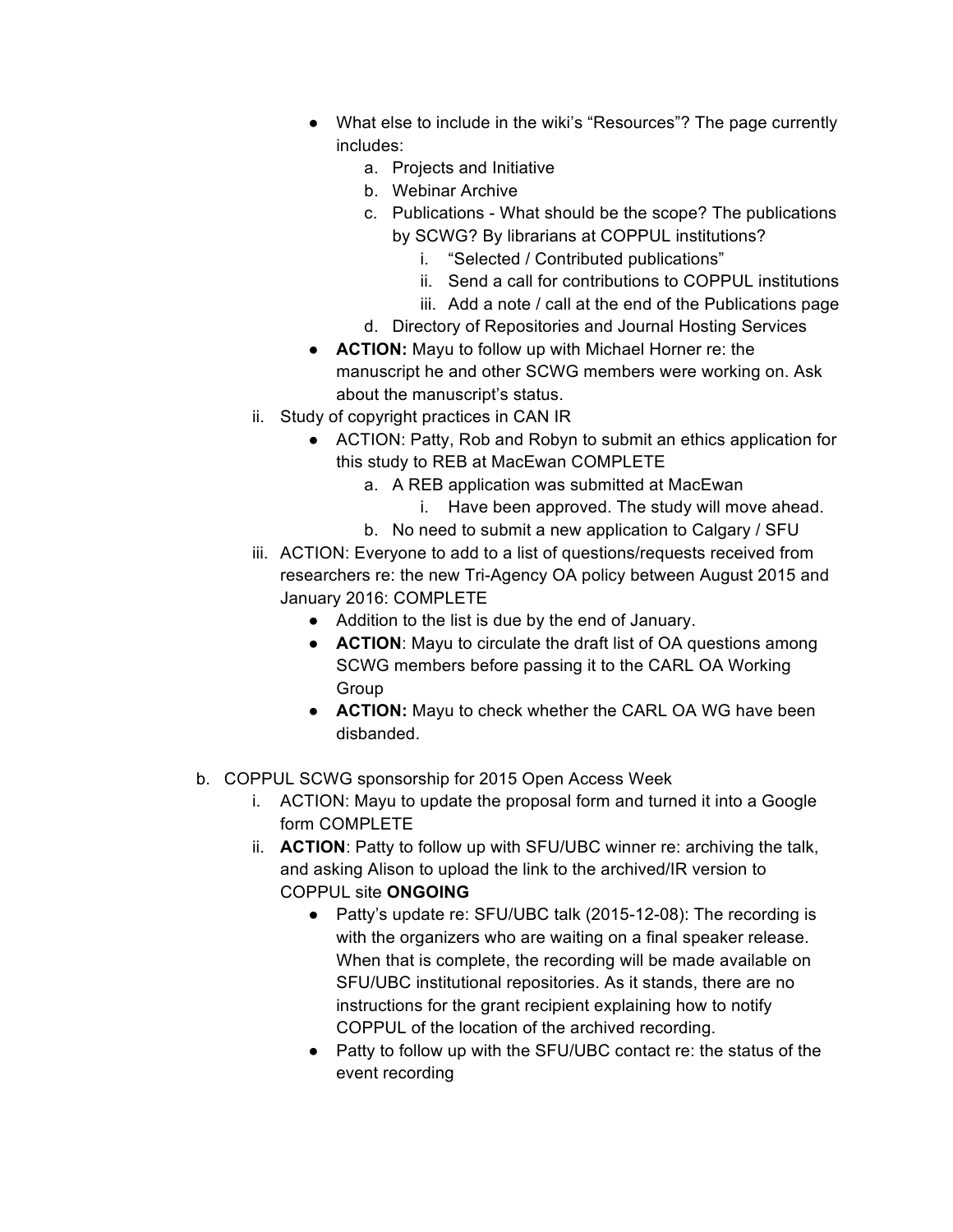- What else to include in the wiki's "Resources"? The page currently includes:
	- a. Projects and Initiative
	- b. Webinar Archive
	- c. Publications What should be the scope? The publications by SCWG? By librarians at COPPUL institutions?
		- i. "Selected / Contributed publications"
		- ii. Send a call for contributions to COPPUL institutions
		- iii. Add a note / call at the end of the Publications page
	- d. Directory of Repositories and Journal Hosting Services
- **ACTION:** Mayu to follow up with Michael Horner re: the manuscript he and other SCWG members were working on. Ask about the manuscript's status.
- ii. Study of copyright practices in CAN IR
	- ACTION: Patty, Rob and Robyn to submit an ethics application for this study to REB at MacEwan COMPLETE
		- a. A REB application was submitted at MacEwan
			- i. Have been approved. The study will move ahead.
		- b. No need to submit a new application to Calgary / SFU
- iii. ACTION: Everyone to add to a list of questions/requests received from researchers re: the new Tri-Agency OA policy between August 2015 and January 2016: COMPLETE
	- Addition to the list is due by the end of January.
	- **ACTION**: Mayu to circulate the draft list of OA questions among SCWG members before passing it to the CARL OA Working **Group**
	- **ACTION:** Mayu to check whether the CARL OA WG have been disbanded.
- b. COPPUL SCWG sponsorship for 2015 Open Access Week
	- i. ACTION: Mayu to update the proposal form and turned it into a Google form COMPLETE
	- ii. **ACTION**: Patty to follow up with SFU/UBC winner re: archiving the talk, and asking Alison to upload the link to the archived/IR version to COPPUL site **ONGOING**
		- Patty's update re: SFU/UBC talk (2015-12-08): The recording is with the organizers who are waiting on a final speaker release. When that is complete, the recording will be made available on SFU/UBC institutional repositories. As it stands, there are no instructions for the grant recipient explaining how to notify COPPUL of the location of the archived recording.
		- Patty to follow up with the SFU/UBC contact re: the status of the event recording